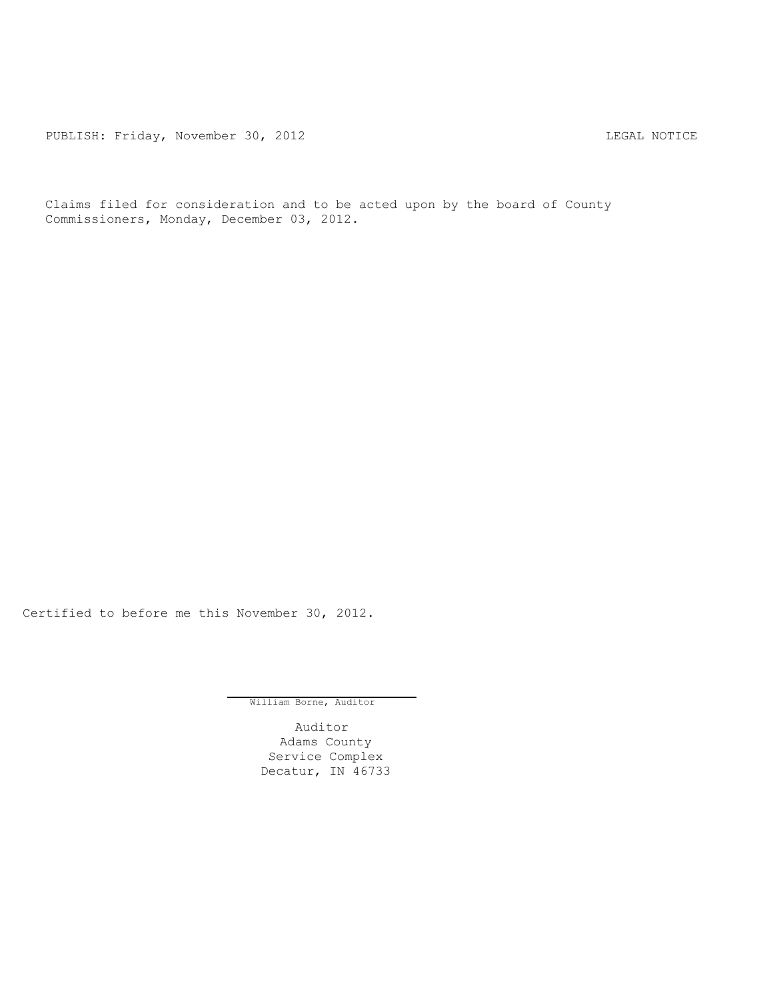PUBLISH: Friday, November 30, 2012 CHA CHANGE CONSERVATION CHANGE CONTROL PUBLISH: FRIDAY, NOTICE

Claims filed for consideration and to be acted upon by the board of County Commissioners, Monday, December 03, 2012.

Certified to before me this November 30, 2012.

William Borne, Auditor

Auditor Adams County Service Complex Decatur, IN 46733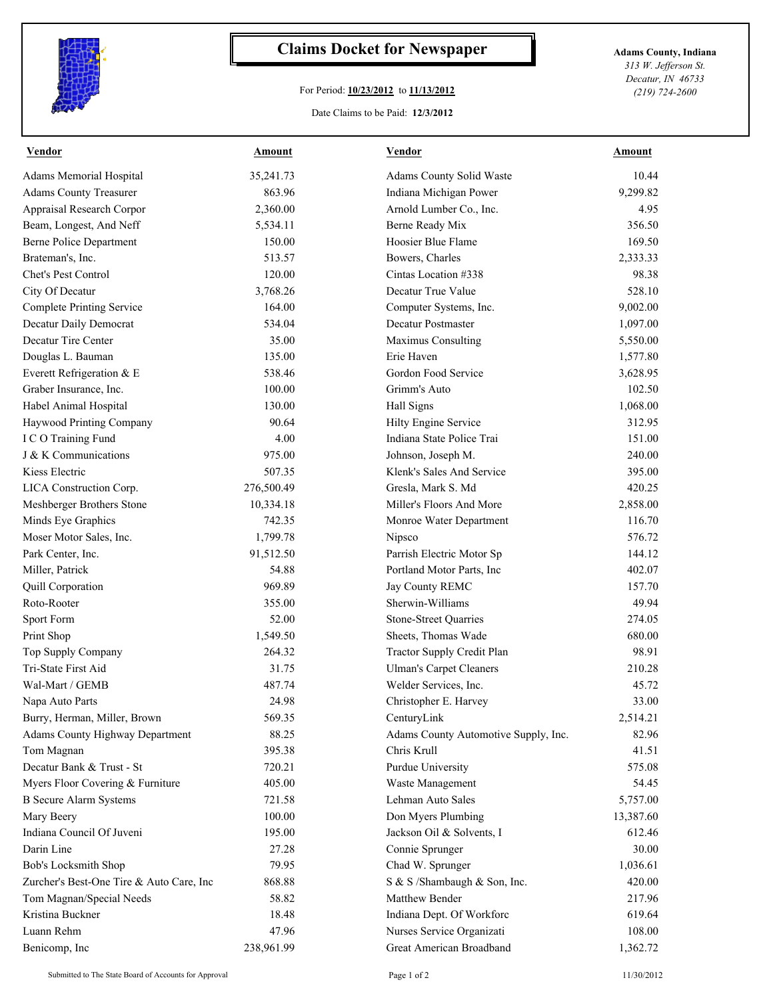

## **Claims Docket for Newspaper Adams County, Indiana**

## For Period: **10/23/2012** to **11/13/2012**

Date Claims to be Paid: **12/3/2012**

*313 W. Jefferson St. Decatur, IN 46733 (219) 724-2600*

| Vendor                                   | Amount     | <b>Vendor</b>                        | Amount    |
|------------------------------------------|------------|--------------------------------------|-----------|
| <b>Adams Memorial Hospital</b>           | 35,241.73  | Adams County Solid Waste             | 10.44     |
| <b>Adams County Treasurer</b>            | 863.96     | Indiana Michigan Power               | 9,299.82  |
| <b>Appraisal Research Corpor</b>         | 2,360.00   | Arnold Lumber Co., Inc.              | 4.95      |
| Beam, Longest, And Neff                  | 5,534.11   | Berne Ready Mix                      | 356.50    |
| <b>Berne Police Department</b>           | 150.00     | Hoosier Blue Flame                   | 169.50    |
| Brateman's, Inc.                         | 513.57     | Bowers, Charles                      | 2,333.33  |
| Chet's Pest Control                      | 120.00     | Cintas Location #338                 | 98.38     |
| City Of Decatur                          | 3,768.26   | Decatur True Value                   | 528.10    |
| <b>Complete Printing Service</b>         | 164.00     | Computer Systems, Inc.               | 9,002.00  |
| Decatur Daily Democrat                   | 534.04     | Decatur Postmaster                   | 1,097.00  |
| Decatur Tire Center                      | 35.00      | Maximus Consulting                   | 5,550.00  |
| Douglas L. Bauman                        | 135.00     | Erie Haven                           | 1,577.80  |
| Everett Refrigeration & E                | 538.46     | Gordon Food Service                  | 3,628.95  |
| Graber Insurance, Inc.                   | 100.00     | Grimm's Auto                         | 102.50    |
| Habel Animal Hospital                    | 130.00     | Hall Signs                           | 1,068.00  |
| <b>Haywood Printing Company</b>          | 90.64      | Hilty Engine Service                 | 312.95    |
| I C O Training Fund                      | 4.00       | Indiana State Police Trai            | 151.00    |
| J & K Communications                     | 975.00     | Johnson, Joseph M.                   | 240.00    |
| Kiess Electric                           | 507.35     | Klenk's Sales And Service            | 395.00    |
| <b>LICA Construction Corp.</b>           | 276,500.49 | Gresla, Mark S. Md                   | 420.25    |
| Meshberger Brothers Stone                | 10,334.18  | Miller's Floors And More             | 2,858.00  |
| Minds Eye Graphics                       | 742.35     | Monroe Water Department              | 116.70    |
| Moser Motor Sales, Inc.                  | 1,799.78   | Nipsco                               | 576.72    |
| Park Center, Inc.                        | 91,512.50  | Parrish Electric Motor Sp            | 144.12    |
| Miller, Patrick                          | 54.88      | Portland Motor Parts, Inc            | 402.07    |
| <b>Quill Corporation</b>                 | 969.89     | Jay County REMC                      | 157.70    |
| Roto-Rooter                              | 355.00     | Sherwin-Williams                     | 49.94     |
| Sport Form                               | 52.00      | Stone-Street Quarries                | 274.05    |
| Print Shop                               | 1,549.50   | Sheets, Thomas Wade                  | 680.00    |
| Top Supply Company                       | 264.32     | Tractor Supply Credit Plan           | 98.91     |
| Tri-State First Aid                      | 31.75      | <b>Ulman's Carpet Cleaners</b>       | 210.28    |
| Wal-Mart / GEMB                          | 487.74     | Welder Services, Inc.                | 45.72     |
| Napa Auto Parts                          | 24.98      | Christopher E. Harvey                | 33.00     |
| Burry, Herman, Miller, Brown             | 569.35     | CenturyLink                          | 2,514.21  |
| <b>Adams County Highway Department</b>   | 88.25      | Adams County Automotive Supply, Inc. | 82.96     |
| Tom Magnan                               | 395.38     | Chris Krull                          | 41.51     |
| Decatur Bank & Trust - St                | 720.21     | <b>Purdue University</b>             | 575.08    |
| Myers Floor Covering & Furniture         | 405.00     | Waste Management                     | 54.45     |
| <b>B</b> Secure Alarm Systems            | 721.58     | Lehman Auto Sales                    | 5,757.00  |
| Mary Beery                               | 100.00     | Don Myers Plumbing                   | 13,387.60 |
| Indiana Council Of Juveni                | 195.00     | Jackson Oil & Solvents, I            | 612.46    |
| Darin Line                               | 27.28      | Connie Sprunger                      | 30.00     |
| <b>Bob's Locksmith Shop</b>              | 79.95      | Chad W. Sprunger                     | 1,036.61  |
| Zurcher's Best-One Tire & Auto Care, Inc | 868.88     | S & S /Shambaugh & Son, Inc.         | 420.00    |
| Tom Magnan/Special Needs                 | 58.82      | Matthew Bender                       | 217.96    |
| Kristina Buckner                         | 18.48      | Indiana Dept. Of Workforc            | 619.64    |
| Luann Rehm                               | 47.96      | Nurses Service Organizati            | 108.00    |
| Benicomp, Inc                            | 238,961.99 | Great American Broadband             | 1,362.72  |
|                                          |            |                                      |           |